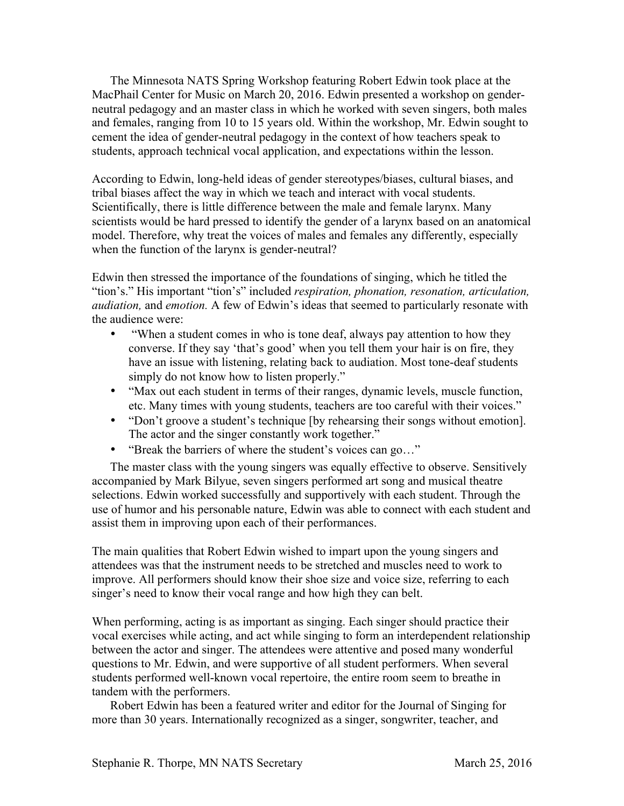The Minnesota NATS Spring Workshop featuring Robert Edwin took place at the MacPhail Center for Music on March 20, 2016. Edwin presented a workshop on genderneutral pedagogy and an master class in which he worked with seven singers, both males and females, ranging from 10 to 15 years old. Within the workshop, Mr. Edwin sought to cement the idea of gender-neutral pedagogy in the context of how teachers speak to students, approach technical vocal application, and expectations within the lesson.

According to Edwin, long-held ideas of gender stereotypes/biases, cultural biases, and tribal biases affect the way in which we teach and interact with vocal students. Scientifically, there is little difference between the male and female larynx. Many scientists would be hard pressed to identify the gender of a larynx based on an anatomical model. Therefore, why treat the voices of males and females any differently, especially when the function of the larynx is gender-neutral?

Edwin then stressed the importance of the foundations of singing, which he titled the "tion's." His important "tion's" included *respiration, phonation, resonation, articulation, audiation,* and *emotion.* A few of Edwin's ideas that seemed to particularly resonate with the audience were:

- "When a student comes in who is tone deaf, always pay attention to how they converse. If they say 'that's good' when you tell them your hair is on fire, they have an issue with listening, relating back to audiation. Most tone-deaf students simply do not know how to listen properly."
- "Max out each student in terms of their ranges, dynamic levels, muscle function, etc. Many times with young students, teachers are too careful with their voices."
- "Don't groove a student's technique [by rehearsing their songs without emotion]. The actor and the singer constantly work together."
- "Break the barriers of where the student's voices can go..."

The master class with the young singers was equally effective to observe. Sensitively accompanied by Mark Bilyue, seven singers performed art song and musical theatre selections. Edwin worked successfully and supportively with each student. Through the use of humor and his personable nature, Edwin was able to connect with each student and assist them in improving upon each of their performances.

The main qualities that Robert Edwin wished to impart upon the young singers and attendees was that the instrument needs to be stretched and muscles need to work to improve. All performers should know their shoe size and voice size, referring to each singer's need to know their vocal range and how high they can belt.

When performing, acting is as important as singing. Each singer should practice their vocal exercises while acting, and act while singing to form an interdependent relationship between the actor and singer. The attendees were attentive and posed many wonderful questions to Mr. Edwin, and were supportive of all student performers. When several students performed well-known vocal repertoire, the entire room seem to breathe in tandem with the performers.

Robert Edwin has been a featured writer and editor for the Journal of Singing for more than 30 years. Internationally recognized as a singer, songwriter, teacher, and